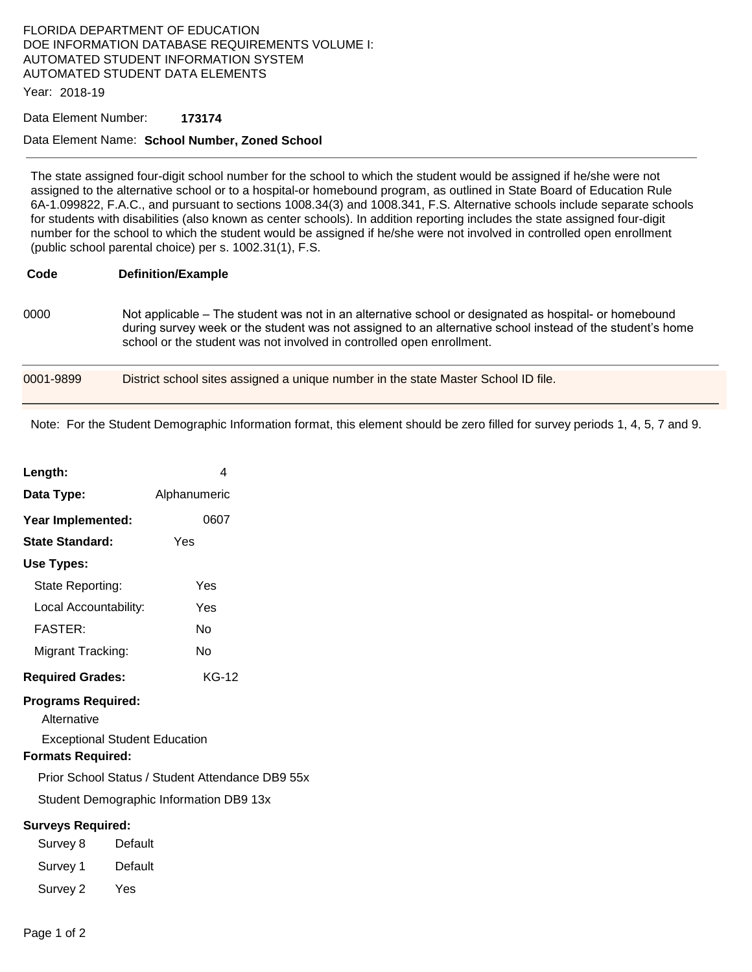## FLORIDA DEPARTMENT OF EDUCATION DOE INFORMATION DATABASE REQUIREMENTS VOLUME I: AUTOMATED STUDENT INFORMATION SYSTEM AUTOMATED STUDENT DATA ELEMENTS

Year: 2018-19

#### Data Element Number: **173174**

#### Data Element Name: **School Number, Zoned School**

The state assigned four-digit school number for the school to which the student would be assigned if he/she were not assigned to the alternative school or to a hospital-or homebound program, as outlined in State Board of Education Rule 6A-1.099822, F.A.C., and pursuant to sections 1008.34(3) and 1008.341, F.S. Alternative schools include separate schools for students with disabilities (also known as center schools). In addition reporting includes the state assigned four-digit number for the school to which the student would be assigned if he/she were not involved in controlled open enrollment (public school parental choice) per s. 1002.31(1), F.S.

### **Code Definition/Example**

0000 Not applicable – The student was not in an alternative school or designated as hospital- or homebound during survey week or the student was not assigned to an alternative school instead of the student's home school or the student was not involved in controlled open enrollment.

| 0001-9899 | District school sites assigned a unique number in the state Master School ID file. |  |
|-----------|------------------------------------------------------------------------------------|--|
|           |                                                                                    |  |

Note: For the Student Demographic Information format, this element should be zero filled for survey periods 1, 4, 5, 7 and 9.

| Length:                                  | 4                                                |  |  |  |
|------------------------------------------|--------------------------------------------------|--|--|--|
| Data Type:                               | Alphanumeric                                     |  |  |  |
| Year Implemented:                        | 0607                                             |  |  |  |
| <b>State Standard:</b>                   | Yes                                              |  |  |  |
| Use Types:                               |                                                  |  |  |  |
| State Reporting:                         | Yes                                              |  |  |  |
| Local Accountability:                    | Yes                                              |  |  |  |
| <b>FASTER:</b>                           | Nο                                               |  |  |  |
| Migrant Tracking:                        | Nο                                               |  |  |  |
| <b>Required Grades:</b>                  | <b>KG-12</b>                                     |  |  |  |
| <b>Programs Required:</b><br>Alternative |                                                  |  |  |  |
| <b>Formats Required:</b>                 | <b>Exceptional Student Education</b>             |  |  |  |
|                                          | Prior School Status / Student Attendance DB9 55x |  |  |  |
| Student Demographic Information DB9 13x  |                                                  |  |  |  |
| <b>Surveys Required:</b>                 |                                                  |  |  |  |
| Survey 8                                 | Default                                          |  |  |  |
| Survey 1                                 | Default                                          |  |  |  |
| Survey 2                                 | Yes                                              |  |  |  |